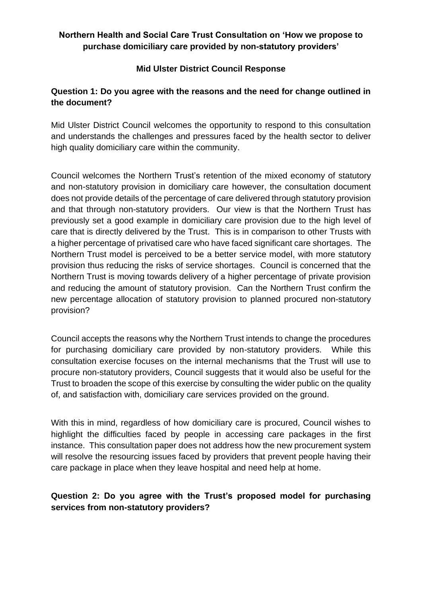### **Northern Health and Social Care Trust Consultation on 'How we propose to purchase domiciliary care provided by non-statutory providers'**

### **Mid Ulster District Council Response**

### **Question 1: Do you agree with the reasons and the need for change outlined in the document?**

Mid Ulster District Council welcomes the opportunity to respond to this consultation and understands the challenges and pressures faced by the health sector to deliver high quality domiciliary care within the community.

Council welcomes the Northern Trust's retention of the mixed economy of statutory and non-statutory provision in domiciliary care however, the consultation document does not provide details of the percentage of care delivered through statutory provision and that through non-statutory providers. Our view is that the Northern Trust has previously set a good example in domiciliary care provision due to the high level of care that is directly delivered by the Trust. This is in comparison to other Trusts with a higher percentage of privatised care who have faced significant care shortages. The Northern Trust model is perceived to be a better service model, with more statutory provision thus reducing the risks of service shortages. Council is concerned that the Northern Trust is moving towards delivery of a higher percentage of private provision and reducing the amount of statutory provision. Can the Northern Trust confirm the new percentage allocation of statutory provision to planned procured non-statutory provision?

Council accepts the reasons why the Northern Trust intends to change the procedures for purchasing domiciliary care provided by non-statutory providers. While this consultation exercise focuses on the internal mechanisms that the Trust will use to procure non-statutory providers, Council suggests that it would also be useful for the Trust to broaden the scope of this exercise by consulting the wider public on the quality of, and satisfaction with, domiciliary care services provided on the ground.

With this in mind, regardless of how domiciliary care is procured, Council wishes to highlight the difficulties faced by people in accessing care packages in the first instance. This consultation paper does not address how the new procurement system will resolve the resourcing issues faced by providers that prevent people having their care package in place when they leave hospital and need help at home.

## **Question 2: Do you agree with the Trust's proposed model for purchasing services from non-statutory providers?**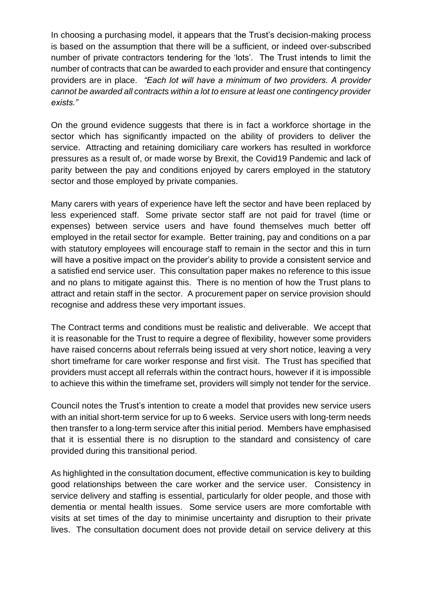In choosing a purchasing model, it appears that the Trust's decision-making process is based on the assumption that there will be a sufficient, or indeed over-subscribed number of private contractors tendering for the 'lots'. The Trust intends to limit the number of contracts that can be awarded to each provider and ensure that contingency providers are in place. *"Each lot will have a minimum of two providers. A provider cannot be awarded all contracts within a lot to ensure at least one contingency provider exists."*

On the ground evidence suggests that there is in fact a workforce shortage in the sector which has significantly impacted on the ability of providers to deliver the service. Attracting and retaining domiciliary care workers has resulted in workforce pressures as a result of, or made worse by Brexit, the Covid19 Pandemic and lack of parity between the pay and conditions enjoyed by carers employed in the statutory sector and those employed by private companies.

Many carers with years of experience have left the sector and have been replaced by less experienced staff. Some private sector staff are not paid for travel (time or expenses) between service users and have found themselves much better off employed in the retail sector for example. Better training, pay and conditions on a par with statutory employees will encourage staff to remain in the sector and this in turn will have a positive impact on the provider's ability to provide a consistent service and a satisfied end service user. This consultation paper makes no reference to this issue and no plans to mitigate against this. There is no mention of how the Trust plans to attract and retain staff in the sector. A procurement paper on service provision should recognise and address these very important issues.

The Contract terms and conditions must be realistic and deliverable. We accept that it is reasonable for the Trust to require a degree of flexibility, however some providers have raised concerns about referrals being issued at very short notice, leaving a very short timeframe for care worker response and first visit. The Trust has specified that providers must accept all referrals within the contract hours, however if it is impossible to achieve this within the timeframe set, providers will simply not tender for the service.

Council notes the Trust's intention to create a model that provides new service users with an initial short-term service for up to 6 weeks. Service users with long-term needs then transfer to a long-term service after this initial period. Members have emphasised that it is essential there is no disruption to the standard and consistency of care provided during this transitional period.

As highlighted in the consultation document, effective communication is key to building good relationships between the care worker and the service user. Consistency in service delivery and staffing is essential, particularly for older people, and those with dementia or mental health issues. Some service users are more comfortable with visits at set times of the day to minimise uncertainty and disruption to their private lives. The consultation document does not provide detail on service delivery at this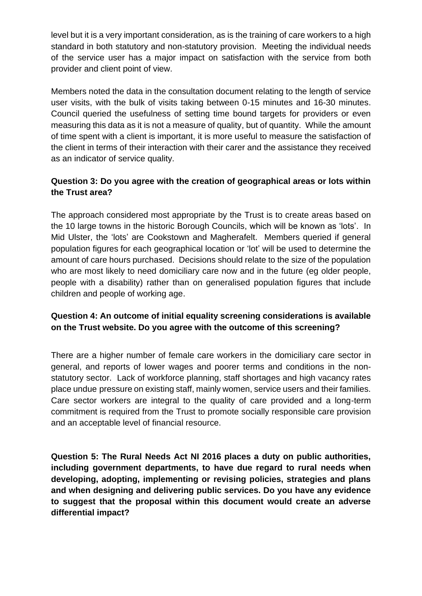level but it is a very important consideration, as is the training of care workers to a high standard in both statutory and non-statutory provision. Meeting the individual needs of the service user has a major impact on satisfaction with the service from both provider and client point of view.

Members noted the data in the consultation document relating to the length of service user visits, with the bulk of visits taking between 0-15 minutes and 16-30 minutes. Council queried the usefulness of setting time bound targets for providers or even measuring this data as it is not a measure of quality, but of quantity. While the amount of time spent with a client is important, it is more useful to measure the satisfaction of the client in terms of their interaction with their carer and the assistance they received as an indicator of service quality.

# **Question 3: Do you agree with the creation of geographical areas or lots within the Trust area?**

The approach considered most appropriate by the Trust is to create areas based on the 10 large towns in the historic Borough Councils, which will be known as 'lots'. In Mid Ulster, the 'lots' are Cookstown and Magherafelt. Members queried if general population figures for each geographical location or 'lot' will be used to determine the amount of care hours purchased. Decisions should relate to the size of the population who are most likely to need domiciliary care now and in the future (eg older people, people with a disability) rather than on generalised population figures that include children and people of working age.

## **Question 4: An outcome of initial equality screening considerations is available on the Trust website. Do you agree with the outcome of this screening?**

There are a higher number of female care workers in the domiciliary care sector in general, and reports of lower wages and poorer terms and conditions in the nonstatutory sector. Lack of workforce planning, staff shortages and high vacancy rates place undue pressure on existing staff, mainly women, service users and their families. Care sector workers are integral to the quality of care provided and a long-term commitment is required from the Trust to promote socially responsible care provision and an acceptable level of financial resource.

**Question 5: The Rural Needs Act NI 2016 places a duty on public authorities, including government departments, to have due regard to rural needs when developing, adopting, implementing or revising policies, strategies and plans and when designing and delivering public services. Do you have any evidence to suggest that the proposal within this document would create an adverse differential impact?**